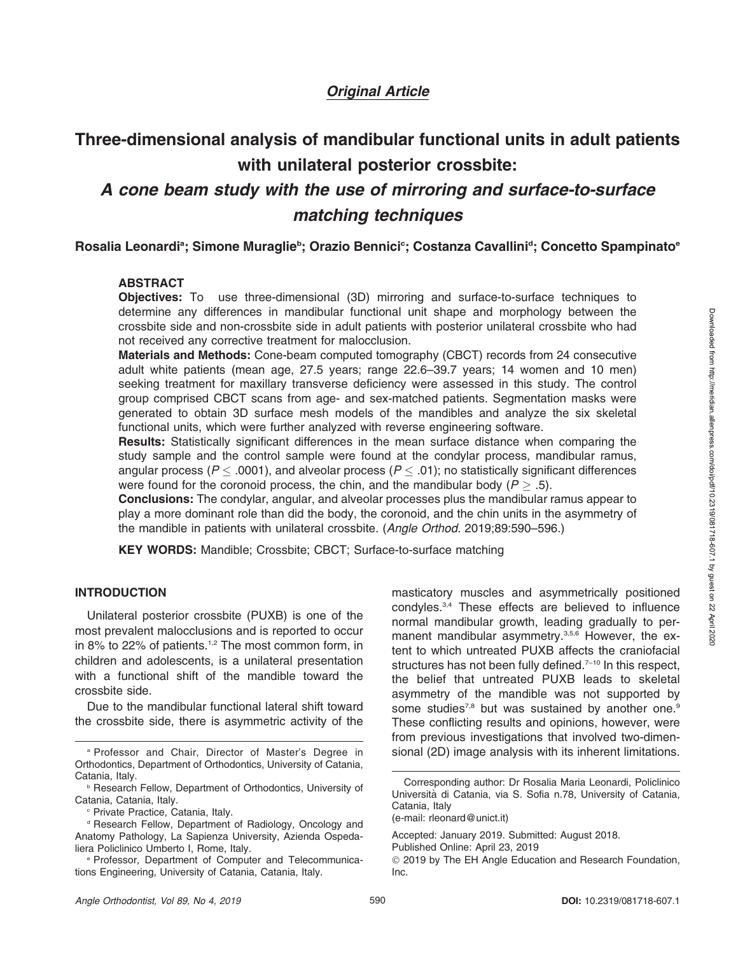## Original Article

# Three-dimensional analysis of mandibular functional units in adult patients with unilateral posterior crossbite: A cone beam study with the use of mirroring and surface-to-surface matching techniques

Rosalia Leonardi<sup>a</sup>; Simone Muraglie<sup>b</sup>; Orazio Bennici<sup>c</sup>; Costanza Cavallini<sup>d</sup>; Concetto Spampinato<sup>e</sup>

## ABSTRACT

Objectives: To use three-dimensional (3D) mirroring and surface-to-surface techniques to determine any differences in mandibular functional unit shape and morphology between the crossbite side and non-crossbite side in adult patients with posterior unilateral crossbite who had not received any corrective treatment for malocclusion.

Materials and Methods: Cone-beam computed tomography (CBCT) records from 24 consecutive adult white patients (mean age, 27.5 years; range 22.6–39.7 years; 14 women and 10 men) seeking treatment for maxillary transverse deficiency were assessed in this study. The control group comprised CBCT scans from age- and sex-matched patients. Segmentation masks were generated to obtain 3D surface mesh models of the mandibles and analyze the six skeletal functional units, which were further analyzed with reverse engineering software.

Results: Statistically significant differences in the mean surface distance when comparing the study sample and the control sample were found at the condylar process, mandibular ramus, angular process ( $P$   $\le$  .0001), and alveolar process ( $P$   $\le$  .01); no statistically significant differences were found for the coronoid process, the chin, and the mandibular body ( $P > .5$ ).

Conclusions: The condylar, angular, and alveolar processes plus the mandibular ramus appear to play a more dominant role than did the body, the coronoid, and the chin units in the asymmetry of the mandible in patients with unilateral crossbite. (Angle Orthod. 2019;89:590–596.)

KEY WORDS: Mandible; Crossbite; CBCT; Surface-to-surface matching

## INTRODUCTION

Unilateral posterior crossbite (PUXB) is one of the most prevalent malocclusions and is reported to occur in 8% to 22% of patients.<sup>1,2</sup> The most common form, in children and adolescents, is a unilateral presentation with a functional shift of the mandible toward the crossbite side.

Due to the mandibular functional lateral shift toward the crossbite side, there is asymmetric activity of the

- Orthodontics, Department of Orthodontics, University of Catania, Catania, Italy.
- **P Research Fellow, Department of Orthodontics, University of** Catania, Catania, Italy.

masticatory muscles and asymmetrically positioned condyles.3,4 These effects are believed to influence normal mandibular growth, leading gradually to permanent mandibular asymmetry.<sup>3,5,6</sup> However, the extent to which untreated PUXB affects the craniofacial structures has not been fully defined.<sup>7-10</sup> In this respect, the belief that untreated PUXB leads to skeletal asymmetry of the mandible was not supported by some studies<sup>7,8</sup> but was sustained by another one.<sup>9</sup> These conflicting results and opinions, however, were from previous investigations that involved two-dimen-<sup>a</sup> Professor and Chair, Director of Master's Degree in sional (2D) image analysis with its inherent limitations.

<sup>c</sup> Private Practice, Catania, Italy.

<sup>&</sup>lt;sup>d</sup> Research Fellow, Department of Radiology, Oncology and Anatomy Pathology, La Sapienza University, Azienda Ospedaliera Policlinico Umberto I, Rome, Italy.

<sup>e</sup> Professor, Department of Computer and Telecommunications Engineering, University of Catania, Catania, Italy.

Corresponding author: Dr Rosalia Maria Leonardi, Policlinico Università di Catania, via S. Sofia n.78, University of Catania, Catania, Italy

<sup>(</sup>e-mail: rleonard@unict.it)

Accepted: January 2019. Submitted: August 2018.

Published Online: April 23, 2019

<sup>-</sup> 2019 by The EH Angle Education and Research Foundation, Inc.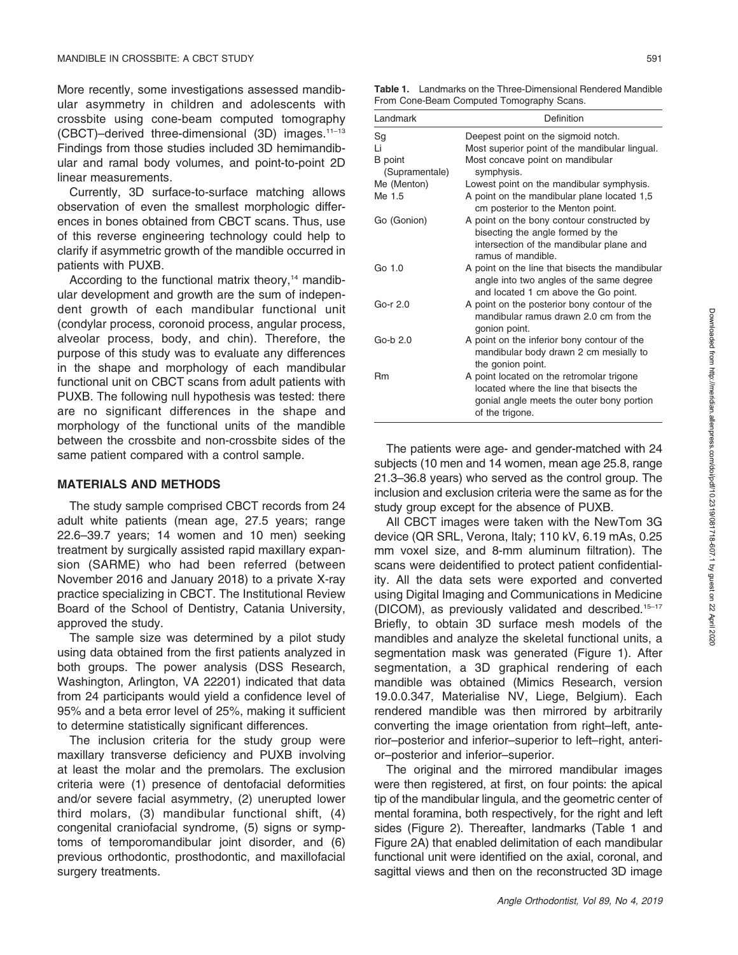More recently, some investigations assessed mandibular asymmetry in children and adolescents with crossbite using cone-beam computed tomography (CBCT)–derived three-dimensional (3D) images.11–13 Findings from those studies included 3D hemimandibular and ramal body volumes, and point-to-point 2D linear measurements.

Currently, 3D surface-to-surface matching allows observation of even the smallest morphologic differences in bones obtained from CBCT scans. Thus, use of this reverse engineering technology could help to clarify if asymmetric growth of the mandible occurred in patients with PUXB.

According to the functional matrix theory,<sup> $14$ </sup> mandibular development and growth are the sum of independent growth of each mandibular functional unit (condylar process, coronoid process, angular process, alveolar process, body, and chin). Therefore, the purpose of this study was to evaluate any differences in the shape and morphology of each mandibular functional unit on CBCT scans from adult patients with PUXB. The following null hypothesis was tested: there are no significant differences in the shape and morphology of the functional units of the mandible between the crossbite and non-crossbite sides of the same patient compared with a control sample.

#### MATERIALS AND METHODS

The study sample comprised CBCT records from 24 adult white patients (mean age, 27.5 years; range 22.6–39.7 years; 14 women and 10 men) seeking treatment by surgically assisted rapid maxillary expansion (SARME) who had been referred (between November 2016 and January 2018) to a private X-ray practice specializing in CBCT. The Institutional Review Board of the School of Dentistry, Catania University, approved the study.

The sample size was determined by a pilot study using data obtained from the first patients analyzed in both groups. The power analysis (DSS Research, Washington, Arlington, VA 22201) indicated that data from 24 participants would yield a confidence level of 95% and a beta error level of 25%, making it sufficient to determine statistically significant differences.

The inclusion criteria for the study group were maxillary transverse deficiency and PUXB involving at least the molar and the premolars. The exclusion criteria were (1) presence of dentofacial deformities and/or severe facial asymmetry, (2) unerupted lower third molars, (3) mandibular functional shift, (4) congenital craniofacial syndrome, (5) signs or symptoms of temporomandibular joint disorder, and (6) previous orthodontic, prosthodontic, and maxillofacial surgery treatments.

| Landmark                         | Definition                                                                                                                                           |  |  |  |
|----------------------------------|------------------------------------------------------------------------------------------------------------------------------------------------------|--|--|--|
| Sg                               | Deepest point on the sigmoid notch.                                                                                                                  |  |  |  |
| Li                               | Most superior point of the mandibular lingual.                                                                                                       |  |  |  |
| <b>B</b> point<br>(Supramentale) | Most concave point on mandibular<br>symphysis.                                                                                                       |  |  |  |
| Me (Menton)                      | Lowest point on the mandibular symphysis.                                                                                                            |  |  |  |
| Me 1.5                           | A point on the mandibular plane located 1,5<br>cm posterior to the Menton point.                                                                     |  |  |  |
| Go (Gonion)                      | A point on the bony contour constructed by<br>bisecting the angle formed by the<br>intersection of the mandibular plane and<br>ramus of mandible.    |  |  |  |
| Go 1.0                           | A point on the line that bisects the mandibular<br>angle into two angles of the same degree<br>and located 1 cm above the Go point.                  |  |  |  |
| Go-r $2.0$                       | A point on the posterior bony contour of the<br>mandibular ramus drawn 2.0 cm from the<br>gonion point.                                              |  |  |  |
| Go-b 2.0                         | A point on the inferior bony contour of the<br>mandibular body drawn 2 cm mesially to<br>the gonion point.                                           |  |  |  |
| Rm                               | A point located on the retromolar trigone<br>located where the line that bisects the<br>gonial angle meets the outer bony portion<br>of the trigone. |  |  |  |

The patients were age- and gender-matched with 24 subjects (10 men and 14 women, mean age 25.8, range 21.3–36.8 years) who served as the control group. The inclusion and exclusion criteria were the same as for the study group except for the absence of PUXB.

All CBCT images were taken with the NewTom 3G device (QR SRL, Verona, Italy; 110 kV, 6.19 mAs, 0.25 mm voxel size, and 8-mm aluminum filtration). The scans were deidentified to protect patient confidentiality. All the data sets were exported and converted using Digital Imaging and Communications in Medicine (DICOM), as previously validated and described.15–17 Briefly, to obtain 3D surface mesh models of the mandibles and analyze the skeletal functional units, a segmentation mask was generated (Figure 1). After segmentation, a 3D graphical rendering of each mandible was obtained (Mimics Research, version 19.0.0.347, Materialise NV, Liege, Belgium). Each rendered mandible was then mirrored by arbitrarily converting the image orientation from right–left, anterior–posterior and inferior–superior to left–right, anterior–posterior and inferior–superior.

The original and the mirrored mandibular images were then registered, at first, on four points: the apical tip of the mandibular lingula, and the geometric center of mental foramina, both respectively, for the right and left sides (Figure 2). Thereafter, landmarks (Table 1 and Figure 2A) that enabled delimitation of each mandibular functional unit were identified on the axial, coronal, and sagittal views and then on the reconstructed 3D image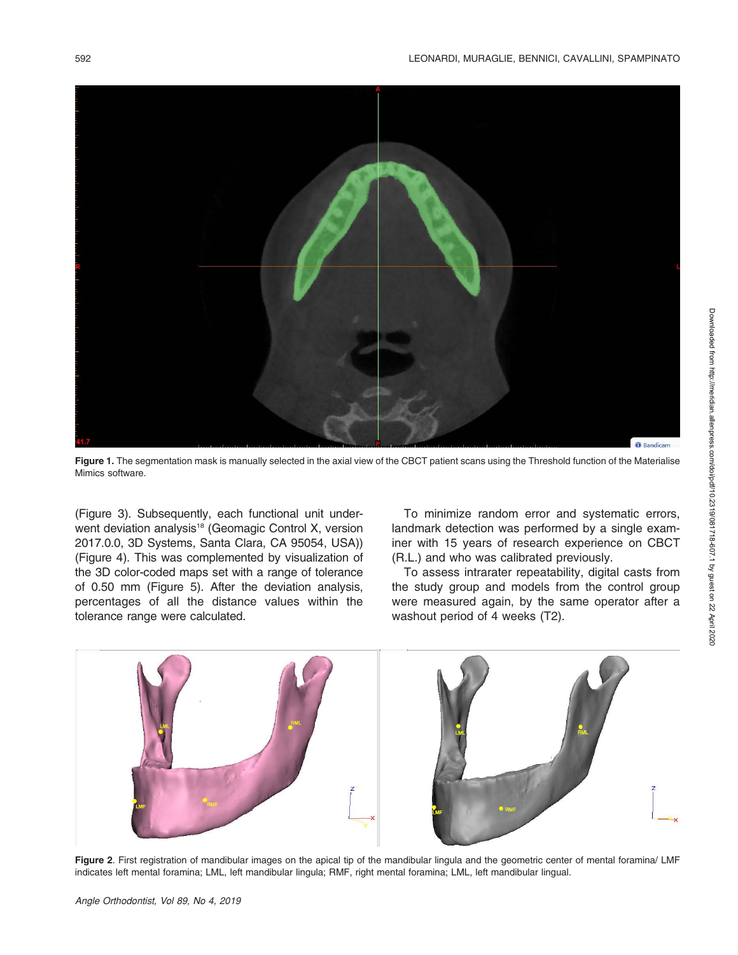

Figure 1. The segmentation mask is manually selected in the axial view of the CBCT patient scans using the Threshold function of the Materialise Mimics software.

(Figure 3). Subsequently, each functional unit underwent deviation analysis<sup>18</sup> (Geomagic Control X, version 2017.0.0, 3D Systems, Santa Clara, CA 95054, USA)) (Figure 4). This was complemented by visualization of the 3D color-coded maps set with a range of tolerance of 0.50 mm (Figure 5). After the deviation analysis, percentages of all the distance values within the tolerance range were calculated.

To minimize random error and systematic errors, landmark detection was performed by a single examiner with 15 years of research experience on CBCT (R.L.) and who was calibrated previously.

To assess intrarater repeatability, digital casts from the study group and models from the control group were measured again, by the same operator after a washout period of 4 weeks (T2).



Figure 2. First registration of mandibular images on the apical tip of the mandibular lingula and the geometric center of mental foramina/ LMF indicates left mental foramina; LML, left mandibular lingula; RMF, right mental foramina; LML, left mandibular lingual.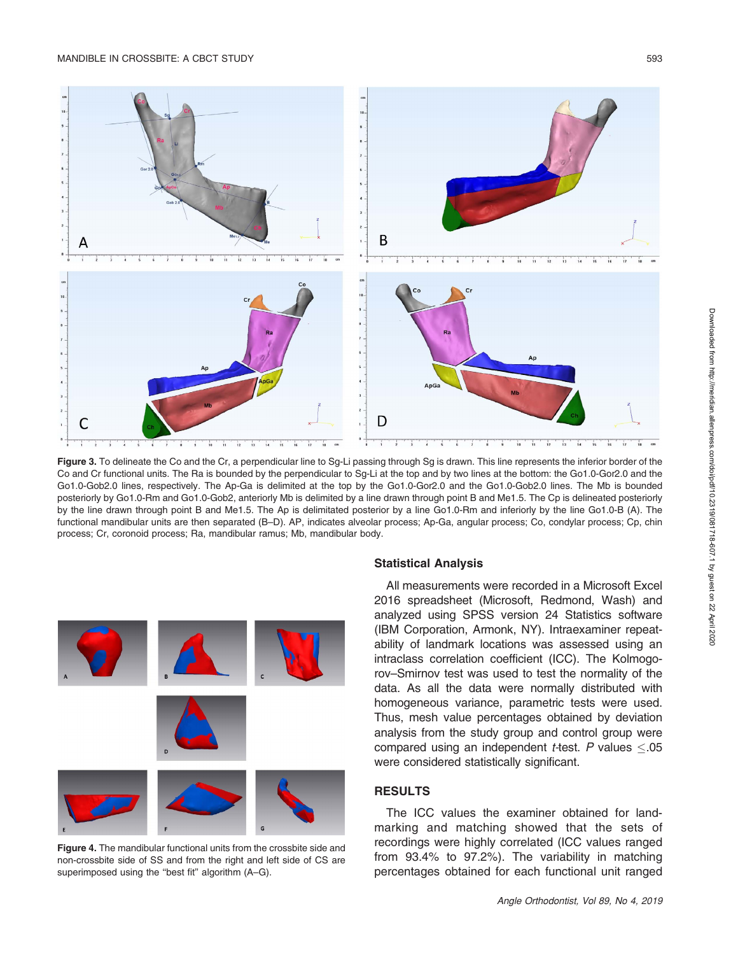

Figure 3. To delineate the Co and the Cr, a perpendicular line to Sq-Li passing through Sq is drawn. This line represents the inferior border of the Co and Cr functional units. The Ra is bounded by the perpendicular to Sg-Li at the top and by two lines at the bottom: the Go1.0-Gor2.0 and the Go1.0-Gob2.0 lines, respectively. The Ap-Ga is delimited at the top by the Go1.0-Gor2.0 and the Go1.0-Gob2.0 lines. The Mb is bounded posteriorly by Go1.0-Rm and Go1.0-Gob2, anteriorly Mb is delimited by a line drawn through point B and Me1.5. The Cp is delineated posteriorly by the line drawn through point B and Me1.5. The Ap is delimitated posterior by a line Go1.0-Rm and inferiorly by the line Go1.0-B (A). The functional mandibular units are then separated (B–D). AP, indicates alveolar process; Ap-Ga, angular process; Co, condylar process; Cp, chin process; Cr, coronoid process; Ra, mandibular ramus; Mb, mandibular body.



Figure 4. The mandibular functional units from the crossbite side and non-crossbite side of SS and from the right and left side of CS are superimposed using the "best fit" algorithm (A–G).

#### Statistical Analysis

All measurements were recorded in a Microsoft Excel 2016 spreadsheet (Microsoft, Redmond, Wash) and analyzed using SPSS version 24 Statistics software (IBM Corporation, Armonk, NY). Intraexaminer repeatability of landmark locations was assessed using an intraclass correlation coefficient (ICC). The Kolmogorov–Smirnov test was used to test the normality of the data. As all the data were normally distributed with homogeneous variance, parametric tests were used. Thus, mesh value percentages obtained by deviation analysis from the study group and control group were compared using an independent *t-*test. P values  $\leq$ .05 were considered statistically significant.

## **RESULTS**

The ICC values the examiner obtained for landmarking and matching showed that the sets of recordings were highly correlated (ICC values ranged from 93.4% to 97.2%). The variability in matching percentages obtained for each functional unit ranged

Downloaded from http://meridian.allenpress.com/doi/pdf/10.2319/081718-607.1 by guest on 22 April 2020

Downloaded from http://meridian.allenpress.com/doi/pdf/10.2319/081718-607.1 by guest on 22 April 2020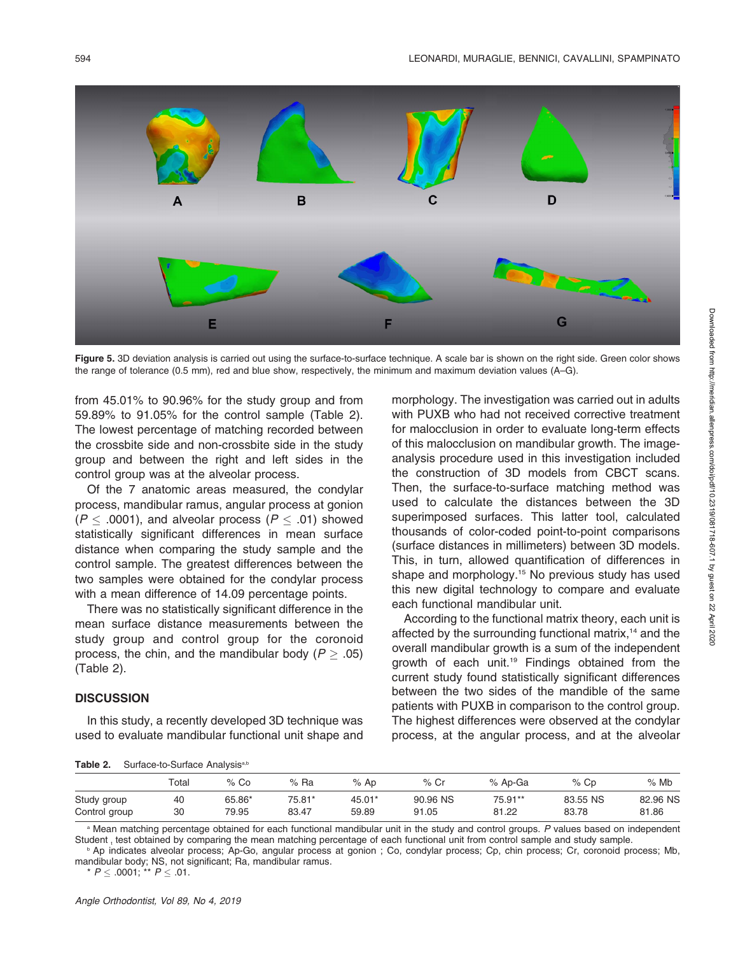

Figure 5. 3D deviation analysis is carried out using the surface-to-surface technique. A scale bar is shown on the right side. Green color shows the range of tolerance (0.5 mm), red and blue show, respectively, the minimum and maximum deviation values (A–G).

from 45.01% to 90.96% for the study group and from 59.89% to 91.05% for the control sample (Table 2). The lowest percentage of matching recorded between the crossbite side and non-crossbite side in the study group and between the right and left sides in the control group was at the alveolar process.

Of the 7 anatomic areas measured, the condylar process, mandibular ramus, angular process at gonion  $(P \leq .0001)$ , and alveolar process  $(P \leq .01)$  showed statistically significant differences in mean surface distance when comparing the study sample and the control sample. The greatest differences between the two samples were obtained for the condylar process with a mean difference of 14.09 percentage points.

There was no statistically significant difference in the mean surface distance measurements between the study group and control group for the coronoid process, the chin, and the mandibular body ( $P \ge .05$ ) (Table 2).

#### **DISCUSSION**

In this study, a recently developed 3D technique was used to evaluate mandibular functional unit shape and morphology. The investigation was carried out in adults with PUXB who had not received corrective treatment for malocclusion in order to evaluate long-term effects of this malocclusion on mandibular growth. The imageanalysis procedure used in this investigation included the construction of 3D models from CBCT scans. Then, the surface-to-surface matching method was used to calculate the distances between the 3D superimposed surfaces. This latter tool, calculated thousands of color-coded point-to-point comparisons (surface distances in millimeters) between 3D models. This, in turn, allowed quantification of differences in shape and morphology.<sup>15</sup> No previous study has used this new digital technology to compare and evaluate each functional mandibular unit.

According to the functional matrix theory, each unit is affected by the surrounding functional matrix,<sup>14</sup> and the overall mandibular growth is a sum of the independent growth of each unit.19 Findings obtained from the current study found statistically significant differences between the two sides of the mandible of the same patients with PUXB in comparison to the control group. The highest differences were observed at the condylar process, at the angular process, and at the alveolar

| Table 2. | Surface-to-Surface Analysis <sup>a,b</sup> |  |
|----------|--------------------------------------------|--|
|          |                                            |  |

|               | Total | $%$ Co | $%$ Ra | $%$ Ap | $%$ Cr   | % Ap-Ga | $%$ Cp   | $%$ Mb   |
|---------------|-------|--------|--------|--------|----------|---------|----------|----------|
| Study group   | 40    | 65.86* | 75.81* | 45.01* | 90.96 NS | 75.91** | 83.55 NS | 82.96 NS |
| Control group | 30    | 79.95  | 83.47  | 59.89  | 91.05    | 81.22   | 83.78    | 81.86    |

a Mean matching percentage obtained for each functional mandibular unit in the study and control groups. P values based on independent Student, test obtained by comparing the mean matching percentage of each functional unit from control sample and study sample.

<sup>b</sup> Ap indicates alveolar process; Ap-Go, angular process at gonion ; Co, condylar process; Cp, chin process; Cr, coronoid process; Mb, mandibular body; NS, not significant; Ra, mandibular ramus.

 $^{\star}$   $P$   $\leq$  .0001;  $^{\star\star}$   $P$   $\leq$  .01.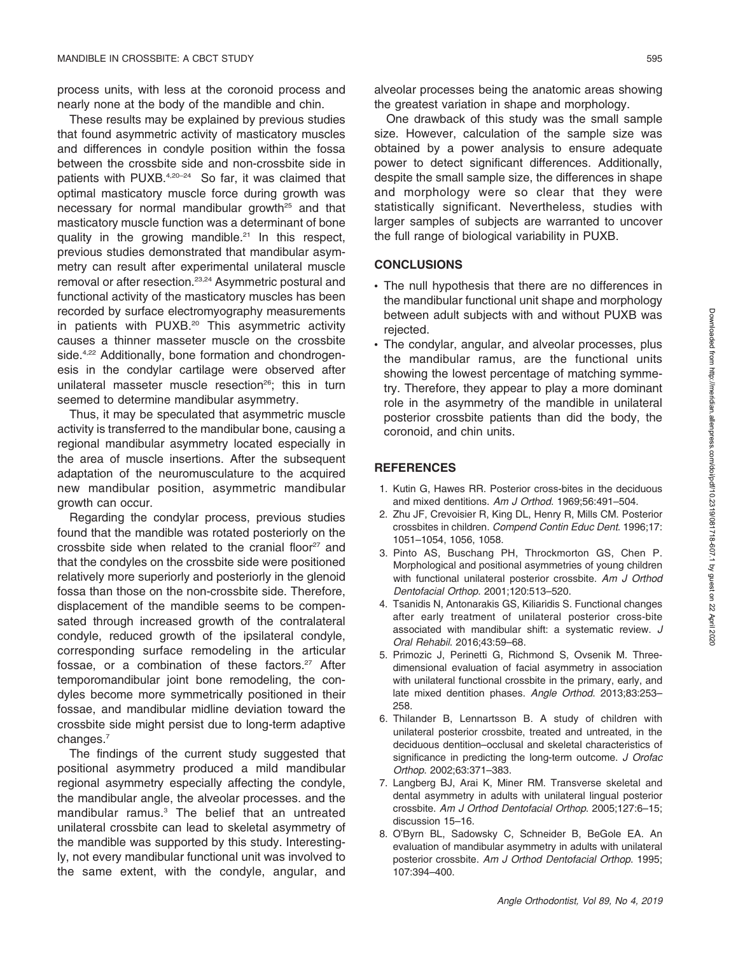process units, with less at the coronoid process and nearly none at the body of the mandible and chin.

These results may be explained by previous studies that found asymmetric activity of masticatory muscles and differences in condyle position within the fossa between the crossbite side and non-crossbite side in patients with PUXB.<sup>4,20-24</sup> So far, it was claimed that optimal masticatory muscle force during growth was necessary for normal mandibular growth<sup>25</sup> and that masticatory muscle function was a determinant of bone quality in the growing mandible.<sup>21</sup> In this respect, previous studies demonstrated that mandibular asymmetry can result after experimental unilateral muscle removal or after resection.<sup>23,24</sup> Asymmetric postural and functional activity of the masticatory muscles has been recorded by surface electromyography measurements in patients with PUXB.<sup>20</sup> This asymmetric activity causes a thinner masseter muscle on the crossbite side.<sup>4,22</sup> Additionally, bone formation and chondrogenesis in the condylar cartilage were observed after unilateral masseter muscle resection<sup>26</sup>; this in turn seemed to determine mandibular asymmetry.

Thus, it may be speculated that asymmetric muscle activity is transferred to the mandibular bone, causing a regional mandibular asymmetry located especially in the area of muscle insertions. After the subsequent adaptation of the neuromusculature to the acquired new mandibular position, asymmetric mandibular growth can occur.

Regarding the condylar process, previous studies found that the mandible was rotated posteriorly on the crossbite side when related to the cranial floor $27$  and that the condyles on the crossbite side were positioned relatively more superiorly and posteriorly in the glenoid fossa than those on the non-crossbite side. Therefore, displacement of the mandible seems to be compensated through increased growth of the contralateral condyle, reduced growth of the ipsilateral condyle, corresponding surface remodeling in the articular fossae, or a combination of these factors.<sup>27</sup> After temporomandibular joint bone remodeling, the condyles become more symmetrically positioned in their fossae, and mandibular midline deviation toward the crossbite side might persist due to long-term adaptive changes.7

The findings of the current study suggested that positional asymmetry produced a mild mandibular regional asymmetry especially affecting the condyle, the mandibular angle, the alveolar processes. and the mandibular ramus. $3$  The belief that an untreated unilateral crossbite can lead to skeletal asymmetry of the mandible was supported by this study. Interestingly, not every mandibular functional unit was involved to the same extent, with the condyle, angular, and

One drawback of this study was the small sample size. However, calculation of the sample size was obtained by a power analysis to ensure adequate power to detect significant differences. Additionally, despite the small sample size, the differences in shape and morphology were so clear that they were statistically significant. Nevertheless, studies with larger samples of subjects are warranted to uncover the full range of biological variability in PUXB.

## **CONCLUSIONS**

- The null hypothesis that there are no differences in the mandibular functional unit shape and morphology between adult subjects with and without PUXB was rejected.
- The condylar, angular, and alveolar processes, plus the mandibular ramus, are the functional units showing the lowest percentage of matching symmetry. Therefore, they appear to play a more dominant role in the asymmetry of the mandible in unilateral posterior crossbite patients than did the body, the coronoid, and chin units.

## **REFERENCES**

- 1. Kutin G, Hawes RR. Posterior cross-bites in the deciduous and mixed dentitions. Am J Orthod. 1969;56:491–504.
- 2. Zhu JF, Crevoisier R, King DL, Henry R, Mills CM. Posterior crossbites in children. Compend Contin Educ Dent. 1996;17: 1051–1054, 1056, 1058.
- 3. Pinto AS, Buschang PH, Throckmorton GS, Chen P. Morphological and positional asymmetries of young children with functional unilateral posterior crossbite. Am J Orthod Dentofacial Orthop. 2001;120:513–520.
- 4. Tsanidis N, Antonarakis GS, Kiliaridis S. Functional changes after early treatment of unilateral posterior cross-bite associated with mandibular shift: a systematic review. J Oral Rehabil. 2016;43:59–68.
- 5. Primozic J, Perinetti G, Richmond S, Ovsenik M. Threedimensional evaluation of facial asymmetry in association with unilateral functional crossbite in the primary, early, and late mixed dentition phases. Angle Orthod. 2013;83:253– 258.
- 6. Thilander B, Lennartsson B. A study of children with unilateral posterior crossbite, treated and untreated, in the deciduous dentition–occlusal and skeletal characteristics of significance in predicting the long-term outcome. J Orofac Orthop. 2002;63:371–383.
- 7. Langberg BJ, Arai K, Miner RM. Transverse skeletal and dental asymmetry in adults with unilateral lingual posterior crossbite. Am J Orthod Dentofacial Orthop. 2005;127:6–15; discussion 15–16.
- 8. O'Byrn BL, Sadowsky C, Schneider B, BeGole EA. An evaluation of mandibular asymmetry in adults with unilateral posterior crossbite. Am J Orthod Dentofacial Orthop. 1995; 107:394–400.